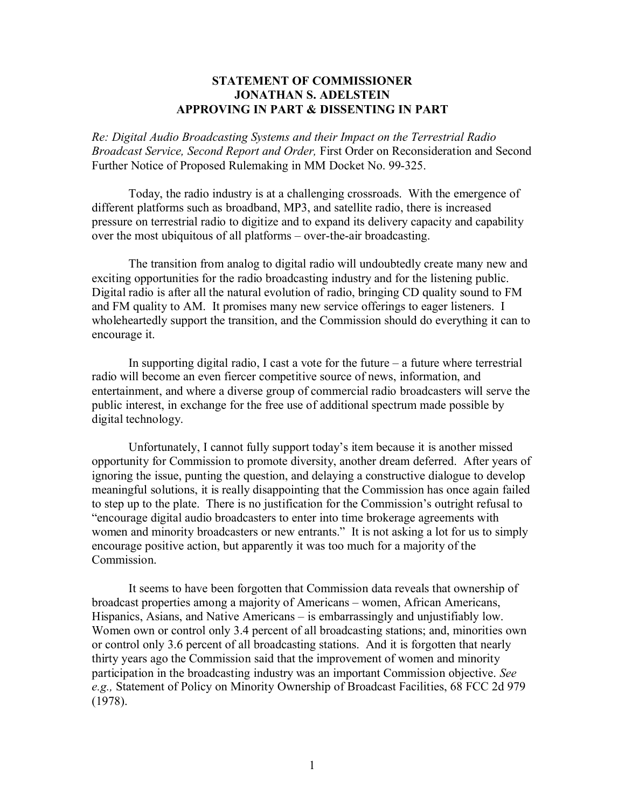## **STATEMENT OF COMMISSIONER JONATHAN S. ADELSTEIN APPROVING IN PART & DISSENTING IN PART**

*Re: Digital Audio Broadcasting Systems and their Impact on the Terrestrial Radio Broadcast Service, Second Report and Order,* First Order on Reconsideration and Second Further Notice of Proposed Rulemaking in MM Docket No. 99-325.

Today, the radio industry is at a challenging crossroads. With the emergence of different platforms such as broadband, MP3, and satellite radio, there is increased pressure on terrestrial radio to digitize and to expand its delivery capacity and capability over the most ubiquitous of all platforms – over-the-air broadcasting.

The transition from analog to digital radio will undoubtedly create many new and exciting opportunities for the radio broadcasting industry and for the listening public. Digital radio is after all the natural evolution of radio, bringing CD quality sound to FM and FM quality to AM. It promises many new service offerings to eager listeners. I wholeheartedly support the transition, and the Commission should do everything it can to encourage it.

In supporting digital radio, I cast a vote for the future – a future where terrestrial radio will become an even fiercer competitive source of news, information, and entertainment, and where a diverse group of commercial radio broadcasters will serve the public interest, in exchange for the free use of additional spectrum made possible by digital technology.

Unfortunately, I cannot fully support today's item because it is another missed opportunity for Commission to promote diversity, another dream deferred. After years of ignoring the issue, punting the question, and delaying a constructive dialogue to develop meaningful solutions, it is really disappointing that the Commission has once again failed to step up to the plate. There is no justification for the Commission's outright refusal to "encourage digital audio broadcasters to enter into time brokerage agreements with women and minority broadcasters or new entrants." It is not asking a lot for us to simply encourage positive action, but apparently it was too much for a majority of the Commission.

It seems to have been forgotten that Commission data reveals that ownership of broadcast properties among a majority of Americans – women, African Americans, Hispanics, Asians, and Native Americans – is embarrassingly and unjustifiably low. Women own or control only 3.4 percent of all broadcasting stations; and, minorities own or control only 3.6 percent of all broadcasting stations. And it is forgotten that nearly thirty years ago the Commission said that the improvement of women and minority participation in the broadcasting industry was an important Commission objective. *See e.g.,* Statement of Policy on Minority Ownership of Broadcast Facilities, 68 FCC 2d 979 (1978).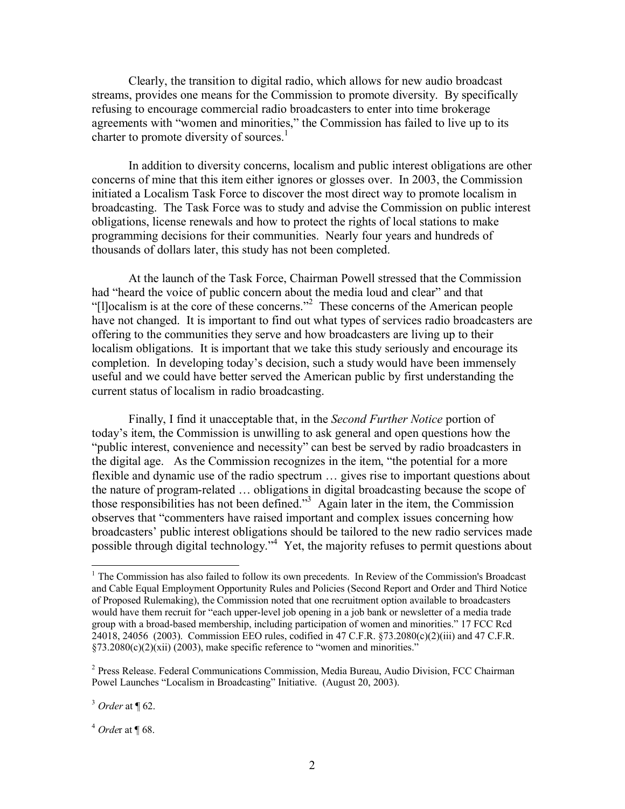Clearly, the transition to digital radio, which allows for new audio broadcast streams, provides one means for the Commission to promote diversity. By specifically refusing to encourage commercial radio broadcasters to enter into time brokerage agreements with "women and minorities," the Commission has failed to live up to its charter to promote diversity of sources.<sup>1</sup>

In addition to diversity concerns, localism and public interest obligations are other concerns of mine that this item either ignores or glosses over. In 2003, the Commission initiated a Localism Task Force to discover the most direct way to promote localism in broadcasting. The Task Force was to study and advise the Commission on public interest obligations, license renewals and how to protect the rights of local stations to make programming decisions for their communities. Nearly four years and hundreds of thousands of dollars later, this study has not been completed.

At the launch of the Task Force, Chairman Powell stressed that the Commission had "heard the voice of public concern about the media loud and clear" and that "[l]ocalism is at the core of these concerns."<sup>2</sup> These concerns of the American people have not changed. It is important to find out what types of services radio broadcasters are offering to the communities they serve and how broadcasters are living up to their localism obligations. It is important that we take this study seriously and encourage its completion. In developing today's decision, such a study would have been immensely useful and we could have better served the American public by first understanding the current status of localism in radio broadcasting.

Finally, I find it unacceptable that, in the *Second Further Notice* portion of today's item, the Commission is unwilling to ask general and open questions how the "public interest, convenience and necessity" can best be served by radio broadcasters in the digital age. As the Commission recognizes in the item, "the potential for a more flexible and dynamic use of the radio spectrum … gives rise to important questions about the nature of program-related … obligations in digital broadcasting because the scope of those responsibilities has not been defined."<sup>3</sup> Again later in the item, the Commission observes that "commenters have raised important and complex issues concerning how broadcasters' public interest obligations should be tailored to the new radio services made possible through digital technology."<sup>4</sup> Yet, the majority refuses to permit questions about

<sup>4</sup> *Orde*r at ¶ 68.

 $<sup>1</sup>$  The Commission has also failed to follow its own precedents. In Review of the Commission's Broadcast</sup> and Cable Equal Employment Opportunity Rules and Policies (Second Report and Order and Third Notice of Proposed Rulemaking), the Commission noted that one recruitment option available to broadcasters would have them recruit for "each upper-level job opening in a job bank or newsletter of a media trade group with a broad-based membership, including participation of women and minorities." 17 FCC Rcd 24018, 24056 (2003). Commission EEO rules, codified in 47 C.F.R. §73.2080(c)(2)(iii) and 47 C.F.R.  $\S$ 73.2080(c)(2)(xii) (2003), make specific reference to "women and minorities."

<sup>&</sup>lt;sup>2</sup> Press Release. Federal Communications Commission, Media Bureau, Audio Division, FCC Chairman Powel Launches "Localism in Broadcasting" Initiative. (August 20, 2003).

<sup>3</sup> *Order* at ¶ 62.